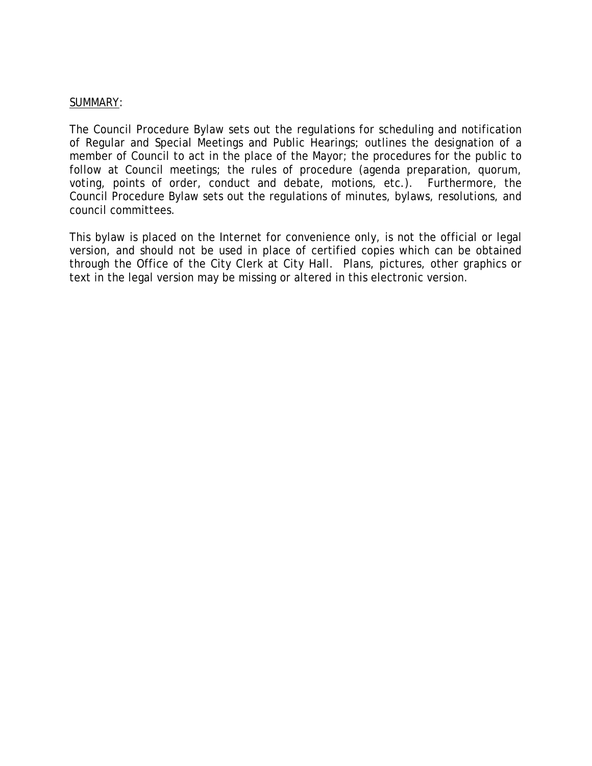## SUMMARY:

The Council Procedure Bylaw sets out the regulations for scheduling and notification of Regular and Special Meetings and Public Hearings; outlines the designation of a member of Council to act in the place of the Mayor; the procedures for the public to follow at Council meetings; the rules of procedure (agenda preparation, quorum, voting, points of order, conduct and debate, motions, etc.). Furthermore, the Council Procedure Bylaw sets out the regulations of minutes, bylaws, resolutions, and council committees.

This bylaw is placed on the Internet for convenience only, is not the official or legal version, and should not be used in place of certified copies which can be obtained through the Office of the City Clerk at City Hall. Plans, pictures, other graphics or text in the legal version may be missing or altered in this electronic version.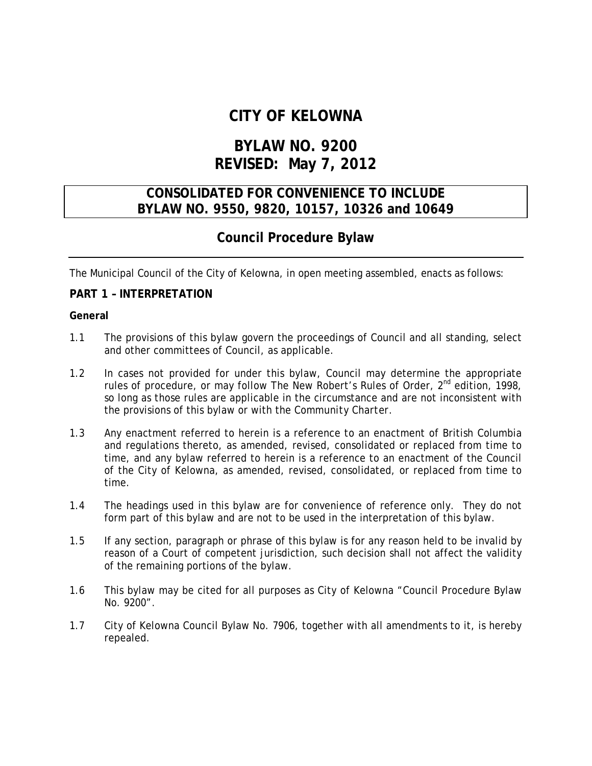# **CITY OF KELOWNA**

# **BYLAW NO. 9200 REVISED: May 7, 2012**

## **CONSOLIDATED FOR CONVENIENCE TO INCLUDE BYLAW NO. 9550, 9820, 10157, 10326 and 10649**

## **Council Procedure Bylaw**

The Municipal Council of the City of Kelowna, in open meeting assembled, enacts as follows:

## **PART 1 – INTERPRETATION**

#### **General**

- 1.1 The provisions of this bylaw govern the proceedings of Council and all standing, select and other committees of Council, as applicable.
- 1.2 In cases not provided for under this bylaw, Council may determine the appropriate rules of procedure, or may follow The New Robert's Rules of Order, 2<sup>nd</sup> edition, 1998, so long as those rules are applicable in the circumstance and are not inconsistent with the provisions of this bylaw or with the *Community Charter*.
- 1.3 Any enactment referred to herein is a reference to an enactment of British Columbia and regulations thereto, as amended, revised, consolidated or replaced from time to time, and any bylaw referred to herein is a reference to an enactment of the Council of the City of Kelowna, as amended, revised, consolidated, or replaced from time to time.
- 1.4 The headings used in this bylaw are for convenience of reference only. They do not form part of this bylaw and are not to be used in the interpretation of this bylaw.
- 1.5 If any section, paragraph or phrase of this bylaw is for any reason held to be invalid by reason of a Court of competent jurisdiction, such decision shall not affect the validity of the remaining portions of the bylaw.
- 1.6 This bylaw may be cited for all purposes as City of Kelowna "Council Procedure Bylaw No. 9200".
- 1.7 City of Kelowna Council Bylaw No. 7906, together with all amendments to it, is hereby repealed.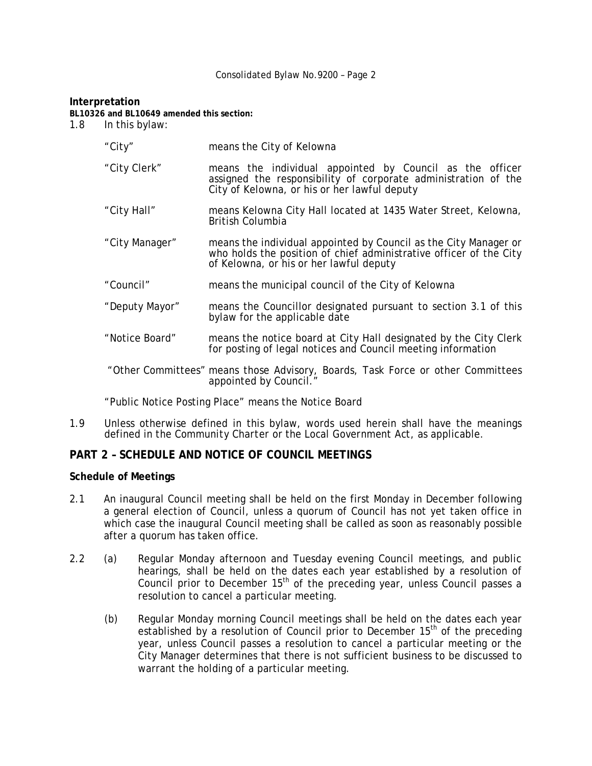#### **Interpretation**

**BL10326 and BL10649 amended this section:** 

1.8 In this bylaw:

| "City"         | means the City of Kelowna                                                                                                                                                         |
|----------------|-----------------------------------------------------------------------------------------------------------------------------------------------------------------------------------|
| "City Clerk"   | means the individual appointed by Council as the officer<br>assigned the responsibility of corporate administration of the<br>City of Kelowna, or his or her lawful deputy        |
| "City Hall"    | means Kelowna City Hall located at 1435 Water Street, Kelowna,<br>British Columbia                                                                                                |
| "City Manager" | means the individual appointed by Council as the City Manager or<br>who holds the position of chief administrative officer of the City<br>of Kelowna, or his or her lawful deputy |
| "Council"      | means the municipal council of the City of Kelowna                                                                                                                                |
| "Deputy Mayor" | means the Councillor designated pursuant to section 3.1 of this<br>bylaw for the applicable date                                                                                  |
| "Notice Board" | means the notice board at City Hall designated by the City Clerk<br>for posting of legal notices and Council meeting information                                                  |
|                | "Other Committees" means those Advisory, Boards, Task Force or other Committees<br>appointed by Council."                                                                         |

"Public Notice Posting Place" means the Notice Board

1.9 Unless otherwise defined in this bylaw, words used herein shall have the meanings defined in the *Community Charter* or the *Local Government Act*, as applicable.

## **PART 2 – SCHEDULE AND NOTICE OF COUNCIL MEETINGS**

#### **Schedule of Meetings**

- 2.1 An inaugural Council meeting shall be held on the first Monday in December following a general election of Council, unless a quorum of Council has not yet taken office in which case the inaugural Council meeting shall be called as soon as reasonably possible after a quorum has taken office.
- 2.2 (a) Regular Monday afternoon and Tuesday evening Council meetings, and public hearings, shall be held on the dates each year established by a resolution of Council prior to December  $15<sup>th</sup>$  of the preceding year, unless Council passes a resolution to cancel a particular meeting.
	- (b) Regular Monday morning Council meetings shall be held on the dates each year established by a resolution of Council prior to December  $15<sup>th</sup>$  of the preceding year, unless Council passes a resolution to cancel a particular meeting or the City Manager determines that there is not sufficient business to be discussed to warrant the holding of a particular meeting.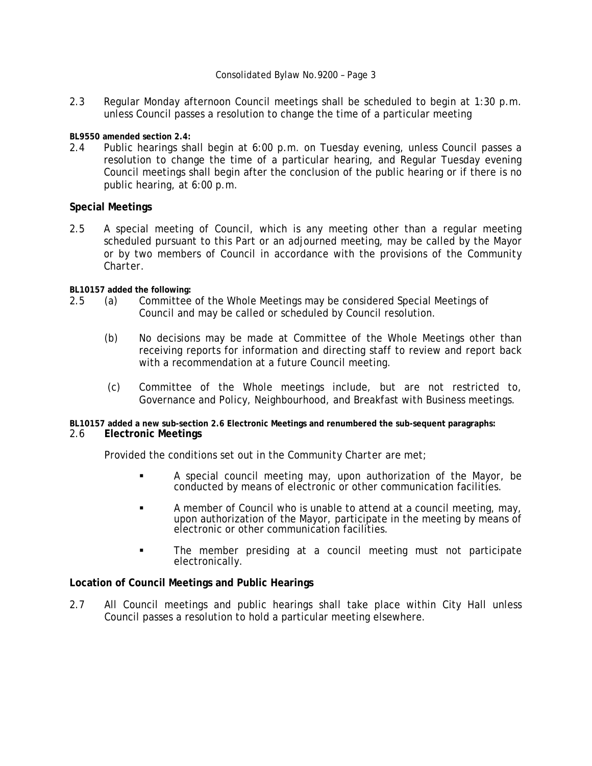2.3 Regular Monday afternoon Council meetings shall be scheduled to begin at 1:30 p.m. unless Council passes a resolution to change the time of a particular meeting

**BL9550 amended section 2.4:** 

2.4 Public hearings shall begin at 6:00 p.m. on Tuesday evening, unless Council passes a resolution to change the time of a particular hearing, and Regular Tuesday evening Council meetings shall begin after the conclusion of the public hearing or if there is no public hearing, at 6:00 p.m.

## **Special Meetings**

2.5 A special meeting of Council, which is any meeting other than a regular meeting scheduled pursuant to this Part or an adjourned meeting, may be called by the Mayor or by two members of Council in accordance with the provisions of the *Community Charter*.

**BL10157 added the following:** 

- 2.5 (a) Committee of the Whole Meetings may be considered Special Meetings of Council and may be called or scheduled by Council resolution.
	- (b) No decisions may be made at Committee of the Whole Meetings other than receiving reports for information and directing staff to review and report back with a recommendation at a future Council meeting.
	- (c) Committee of the Whole meetings include, but are not restricted to, Governance and Policy, Neighbourhood, and Breakfast with Business meetings.

**BL10157 added a new sub-section 2.6 Electronic Meetings and renumbered the sub-sequent paragraphs:** 

## 2.6 **Electronic Meetings**

Provided the conditions set out in the *Community Charter* are met;

- A special council meeting may, upon authorization of the Mayor, be conducted by means of electronic or other communication facilities.
- A member of Council who is unable to attend at a council meeting, may, upon authorization of the Mayor, participate in the meeting by means of electronic or other communication facilities.
- The member presiding at a council meeting must not participate electronically.

#### **Location of Council Meetings and Public Hearings**

2.7 All Council meetings and public hearings shall take place within City Hall unless Council passes a resolution to hold a particular meeting elsewhere.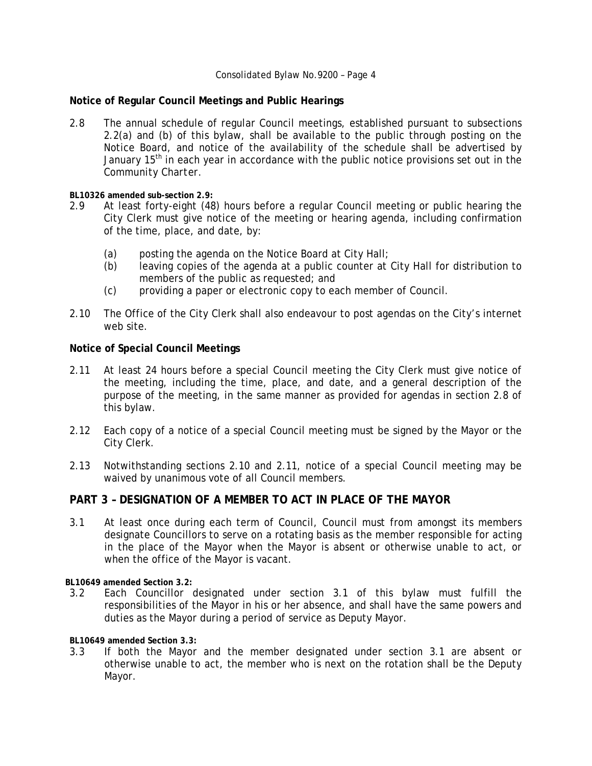## **Notice of Regular Council Meetings and Public Hearings**

2.8 The annual schedule of regular Council meetings, established pursuant to subsections 2.2(a) and (b) of this bylaw, shall be available to the public through posting on the Notice Board, and notice of the availability of the schedule shall be advertised by January  $15<sup>th</sup>$  in each year in accordance with the public notice provisions set out in the *Community Charter*.

**BL10326 amended sub-section 2.9:** 

- 2.9 At least forty-eight (48) hours before a regular Council meeting or public hearing the City Clerk must give notice of the meeting or hearing agenda, including confirmation of the time, place, and date, by:
	- (a) posting the agenda on the Notice Board at City Hall;
	- (b) leaving copies of the agenda at a public counter at City Hall for distribution to members of the public as requested; and
	- (c) providing a paper or electronic copy to each member of Council.
- 2.10 The Office of the City Clerk shall also endeavour to post agendas on the City's internet web site.

## **Notice of Special Council Meetings**

- 2.11 At least 24 hours before a special Council meeting the City Clerk must give notice of the meeting, including the time, place, and date, and a general description of the purpose of the meeting, in the same manner as provided for agendas in section 2.8 of this bylaw.
- 2.12 Each copy of a notice of a special Council meeting must be signed by the Mayor or the City Clerk.
- 2.13 Notwithstanding sections 2.10 and 2.11, notice of a special Council meeting may be waived by unanimous vote of all Council members.

## **PART 3 – DESIGNATION OF A MEMBER TO ACT IN PLACE OF THE MAYOR**

3.1 At least once during each term of Council, Council must from amongst its members designate Councillors to serve on a rotating basis as the member responsible for acting in the place of the Mayor when the Mayor is absent or otherwise unable to act, or when the office of the Mayor is vacant.

**BL10649 amended Section 3.2:** 

3.2 Each Councillor designated under section 3.1 of this bylaw must fulfill the responsibilities of the Mayor in his or her absence, and shall have the same powers and duties as the Mayor during a period of service as Deputy Mayor.

**BL10649 amended Section 3.3:** 

3.3 If both the Mayor and the member designated under section 3.1 are absent or otherwise unable to act, the member who is next on the rotation shall be the Deputy Mayor.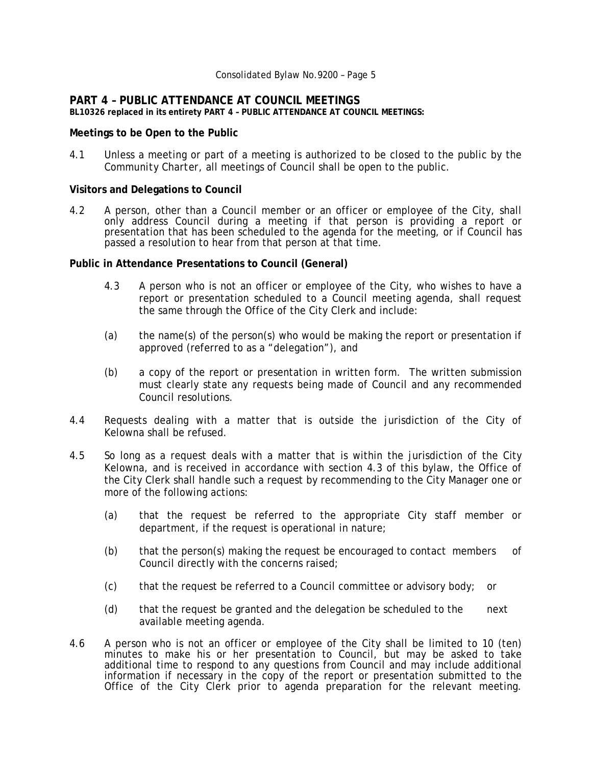## **PART 4 – PUBLIC ATTENDANCE AT COUNCIL MEETINGS**

**BL10326 replaced in its entirety PART 4 – PUBLIC ATTENDANCE AT COUNCIL MEETINGS:** 

#### **Meetings to be Open to the Public**

4.1 Unless a meeting or part of a meeting is authorized to be closed to the public by the *Community Charter*, all meetings of Council shall be open to the public.

#### **Visitors and Delegations to Council**

4.2 A person, other than a Council member or an officer or employee of the City, shall only address Council during a meeting if that person is providing a report or presentation that has been scheduled to the agenda for the meeting, or if Council has passed a resolution to hear from that person at that time.

#### **Public in Attendance Presentations to Council (General)**

- 4.3 A person who is not an officer or employee of the City, who wishes to have a report or presentation scheduled to a Council meeting agenda, shall request the same through the Office of the City Clerk and include:
- (a) the name(s) of the person(s) who would be making the report or presentation if approved (referred to as a "delegation"), and
- (b) a copy of the report or presentation in written form. The written submission must clearly state any requests being made of Council and any recommended Council resolutions.
- 4.4 Requests dealing with a matter that is outside the jurisdiction of the City of Kelowna shall be refused.
- 4.5 So long as a request deals with a matter that is within the jurisdiction of the City Kelowna, and is received in accordance with section 4.3 of this bylaw, the Office of the City Clerk shall handle such a request by recommending to the City Manager one or more of the following actions:
	- (a) that the request be referred to the appropriate City staff member or department, if the request is operational in nature;
	- (b) that the person(s) making the request be encouraged to contact members of Council directly with the concerns raised;
	- (c) that the request be referred to a Council committee or advisory body; or
	- (d) that the request be granted and the delegation be scheduled to the next available meeting agenda.
- 4.6 A person who is not an officer or employee of the City shall be limited to 10 (ten) minutes to make his or her presentation to Council, but may be asked to take additional time to respond to any questions from Council and may include additional information if necessary in the copy of the report or presentation submitted to the Office of the City Clerk prior to agenda preparation for the relevant meeting.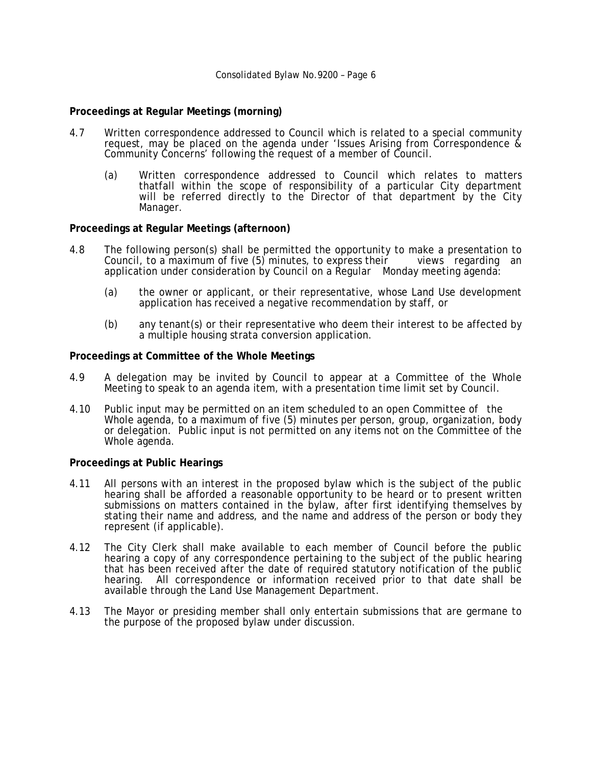#### **Proceedings at Regular Meetings (morning)**

- 4.7 Written correspondence addressed to Council which is related to a special community request, may be placed on the agenda under 'Issues Arising from Correspondence & Community Concerns' following the request of a member of Council.
	- (a) Written correspondence addressed to Council which relates to matters thatfall within the scope of responsibility of a particular City department will be referred directly to the Director of that department by the City Manager.

#### **Proceedings at Regular Meetings (afternoon)**

- 4.8 The following person(s) shall be permitted the opportunity to make a presentation to<br>Council, to a maximum of five (5) minutes, to express their views regarding an Council, to a maximum of five  $(5)$  minutes, to express their application under consideration by Council on a Regular Monday meeting agenda:
	- (a) the owner or applicant, or their representative, whose Land Use development application has received a negative recommendation by staff, or
	- (b) any tenant(s) or their representative who deem their interest to be affected by a multiple housing strata conversion application.

#### **Proceedings at Committee of the Whole Meetings**

- 4.9 A delegation may be invited by Council to appear at a Committee of the Whole Meeting to speak to an agenda item, with a presentation time limit set by Council.
- 4.10 Public input may be permitted on an item scheduled to an open Committee of the Whole agenda, to a maximum of five (5) minutes per person, group, organization, body or delegation. Public input is not permitted on any items not on the Committee of the Whole agenda.

#### **Proceedings at Public Hearings**

- 4.11 All persons with an interest in the proposed bylaw which is the subject of the public hearing shall be afforded a reasonable opportunity to be heard or to present written submissions on matters contained in the bylaw, after first identifying themselves by stating their name and address, and the name and address of the person or body they represent (if applicable).
- 4.12 The City Clerk shall make available to each member of Council before the public hearing a copy of any correspondence pertaining to the subject of the public hearing that has been received after the date of required statutory notification of the public hearing. All correspondence or information received prior to that date shall be available through the Land Use Management Department.
- 4.13 The Mayor or presiding member shall only entertain submissions that are germane to the purpose of the proposed bylaw under discussion.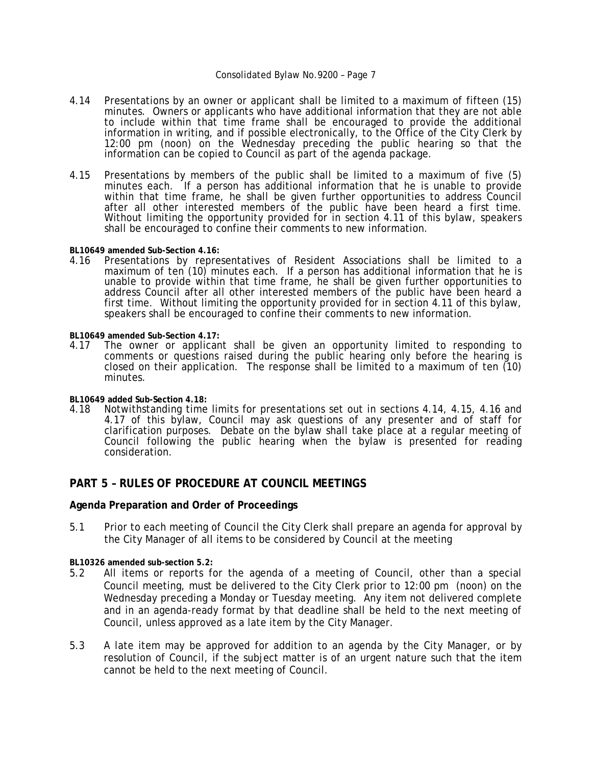- 4.14 Presentations by an owner or applicant shall be limited to a maximum of fifteen (15) minutes. Owners or applicants who have additional information that they are not able to include within that time frame shall be encouraged to provide the additional information in writing, and if possible electronically, to the Office of the City Clerk by 12:00 pm (noon) on the Wednesday preceding the public hearing so that the information can be copied to Council as part of the agenda package.
- 4.15 Presentations by members of the public shall be limited to a maximum of five (5) minutes each. If a person has additional information that he is unable to provide within that time frame, he shall be given further opportunities to address Council after all other interested members of the public have been heard a first time. Without limiting the opportunity provided for in section 4.11 of this bylaw, speakers shall be encouraged to confine their comments to new information.

**BL10649 amended Sub-Section 4.16:** 

4.16 Presentations by representatives of Resident Associations shall be limited to a maximum of ten (10) minutes each. If a person has additional information that he is unable to provide within that time frame, he shall be given further opportunities to address Council after all other interested members of the public have been heard a first time. Without limiting the opportunity provided for in section 4.11 of this bylaw, speakers shall be encouraged to confine their comments to new information.

**BL10649 amended Sub-Section 4.17:** 

The owner or applicant shall be given an opportunity limited to responding to comments or questions raised during the public hearing only before the hearing is closed on their application. The response shall be limited to a maximum of ten  $(10)$ minutes.

**BL10649 added Sub-Section 4.18:** 

Notwithstanding time limits for presentations set out in sections 4.14, 4.15, 4.16 and 4.17 of this bylaw, Council may ask questions of any presenter and of staff for clarification purposes. Debate on the bylaw shall take place at a regular meeting of Council following the public hearing when the bylaw is presented for reading consideration.

## **PART 5 – RULES OF PROCEDURE AT COUNCIL MEETINGS**

#### **Agenda Preparation and Order of Proceedings**

5.1 Prior to each meeting of Council the City Clerk shall prepare an agenda for approval by the City Manager of all items to be considered by Council at the meeting

**BL10326 amended sub-section 5.2:**

- 5.2 All items or reports for the agenda of a meeting of Council, other than a special Council meeting, must be delivered to the City Clerk prior to 12:00 pm (noon) on the Wednesday preceding a Monday or Tuesday meeting. Any item not delivered complete and in an agenda-ready format by that deadline shall be held to the next meeting of Council, unless approved as a late item by the City Manager.
- 5.3 A late item may be approved for addition to an agenda by the City Manager, or by resolution of Council, if the subject matter is of an urgent nature such that the item cannot be held to the next meeting of Council.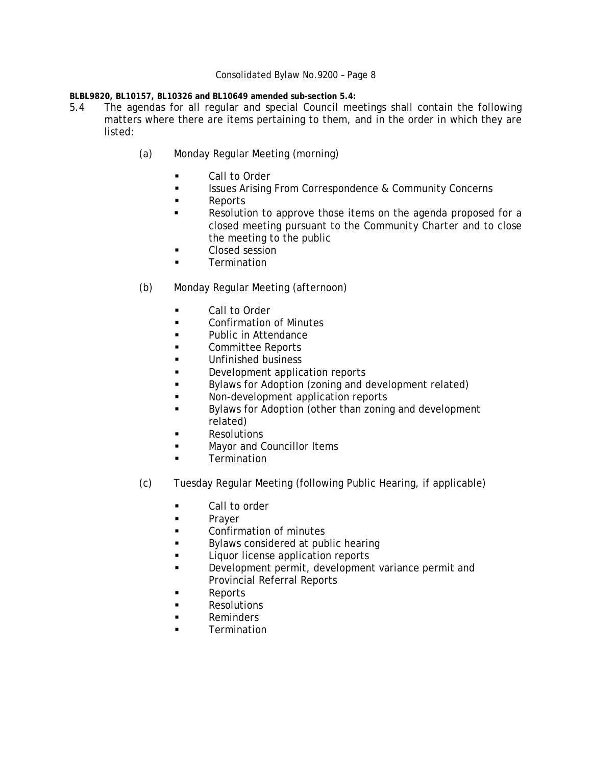**BLBL9820, BL10157, BL10326 and BL10649 amended sub-section 5.4:** 

- 5.4 The agendas for all regular and special Council meetings shall contain the following matters where there are items pertaining to them, and in the order in which they are listed:
	- (a) Monday Regular Meeting (morning)
		- **Call to Order**
		- **ISSUES Arising From Correspondence & Community Concerns**
		- **Reports**
		- Resolution to approve those items on the agenda proposed for a closed meeting pursuant to the *Community Charter* and to close the meeting to the public
		- Closed session
		- **Termination**
	- (b) Monday Regular Meeting (afternoon)
		- Call to Order
		- **Example 2** Confirmation of Minutes
		- **Public in Attendance**
		- Committee Reports
		- **Unfinished business**
		- **Development application reports**
		- **Bylaws for Adoption (zoning and development related)**
		- **Non-development application reports**
		- Bylaws for Adoption (other than zoning and development related)
		- **Resolutions**
		- **Mayor and Councillor Items**
		- **Termination**
	- (c) Tuesday Regular Meeting (following Public Hearing, if applicable)
		- **Call to order**
		- **Prayer**
		- **Example 2** Confirmation of minutes
		- **Bylaws considered at public hearing**
		- **Liquor license application reports**
		- Development permit, development variance permit and Provincial Referral Reports
		- Reports
		- **Resolutions**
		- **Reminders**
		- **Example Termination**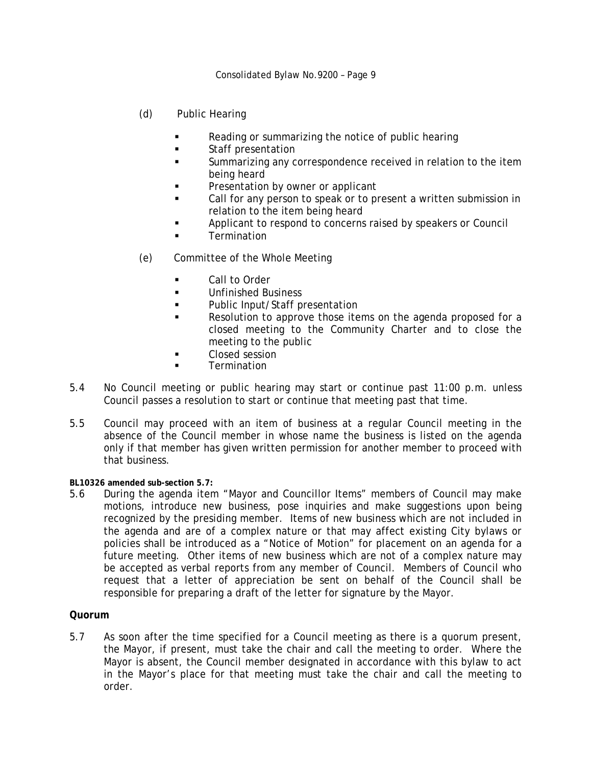- (d) Public Hearing
	- Reading or summarizing the notice of public hearing
	- **Staff presentation**
	- Summarizing any correspondence received in relation to the item being heard
	- Presentation by owner or applicant
	- Call for any person to speak or to present a written submission in relation to the item being heard
	- Applicant to respond to concerns raised by speakers or Council
	- **Termination**
- (e) Committee of the Whole Meeting
	- **Call to Order**
	- **Unfinished Business**
	- **Public Input/Staff presentation**
	- Resolution to approve those items on the agenda proposed for a closed meeting to the Community Charter and to close the meeting to the public
	- **Closed session**
	- **Termination**
- 5.4 No Council meeting or public hearing may start or continue past 11:00 p.m. unless Council passes a resolution to start or continue that meeting past that time.
- 5.5 Council may proceed with an item of business at a regular Council meeting in the absence of the Council member in whose name the business is listed on the agenda only if that member has given written permission for another member to proceed with that business.

**BL10326 amended sub-section 5.7:**

5.6 During the agenda item "Mayor and Councillor Items" members of Council may make motions, introduce new business, pose inquiries and make suggestions upon being recognized by the presiding member. Items of new business which are not included in the agenda and are of a complex nature or that may affect existing City bylaws or policies shall be introduced as a "Notice of Motion" for placement on an agenda for a future meeting. Other items of new business which are not of a complex nature may be accepted as verbal reports from any member of Council. Members of Council who request that a letter of appreciation be sent on behalf of the Council shall be responsible for preparing a draft of the letter for signature by the Mayor.

## **Quorum**

5.7 As soon after the time specified for a Council meeting as there is a quorum present, the Mayor, if present, must take the chair and call the meeting to order. Where the Mayor is absent, the Council member designated in accordance with this bylaw to act in the Mayor's place for that meeting must take the chair and call the meeting to order.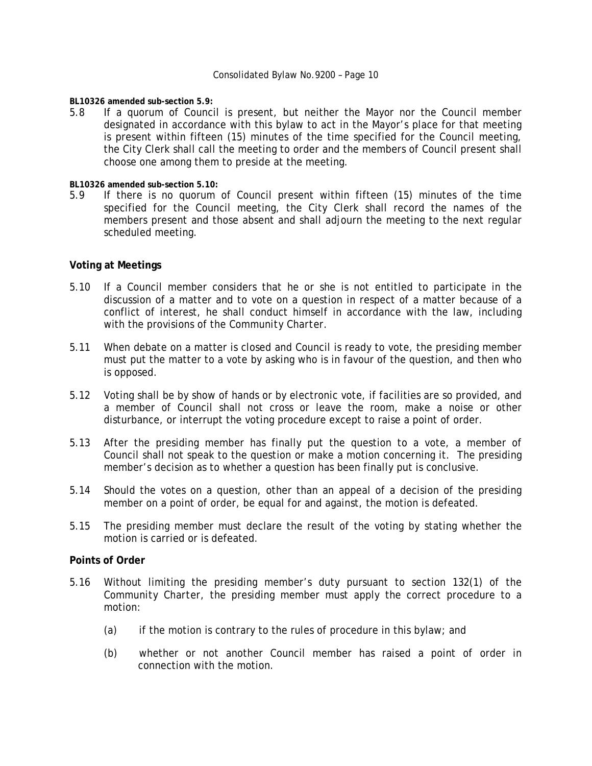**BL10326 amended sub-section 5.9:**

5.8 If a quorum of Council is present, but neither the Mayor nor the Council member designated in accordance with this bylaw to act in the Mayor's place for that meeting is present within fifteen (15) minutes of the time specified for the Council meeting, the City Clerk shall call the meeting to order and the members of Council present shall choose one among them to preside at the meeting.

**BL10326 amended sub-section 5.10:** 

5.9 If there is no quorum of Council present within fifteen (15) minutes of the time specified for the Council meeting, the City Clerk shall record the names of the members present and those absent and shall adjourn the meeting to the next regular scheduled meeting.

#### **Voting at Meetings**

- 5.10 If a Council member considers that he or she is not entitled to participate in the discussion of a matter and to vote on a question in respect of a matter because of a conflict of interest, he shall conduct himself in accordance with the law, including with the provisions of the *Community Charter*.
- 5.11 When debate on a matter is closed and Council is ready to vote, the presiding member must put the matter to a vote by asking who is in favour of the question, and then who is opposed.
- 5.12 Voting shall be by show of hands or by electronic vote, if facilities are so provided, and a member of Council shall not cross or leave the room, make a noise or other disturbance, or interrupt the voting procedure except to raise a point of order.
- 5.13 After the presiding member has finally put the question to a vote, a member of Council shall not speak to the question or make a motion concerning it. The presiding member's decision as to whether a question has been finally put is conclusive.
- 5.14 Should the votes on a question, other than an appeal of a decision of the presiding member on a point of order, be equal for and against, the motion is defeated.
- 5.15 The presiding member must declare the result of the voting by stating whether the motion is carried or is defeated.

#### **Points of Order**

- 5.16 Without limiting the presiding member's duty pursuant to section 132(1) of the *Community Charter*, the presiding member must apply the correct procedure to a motion:
	- (a) if the motion is contrary to the rules of procedure in this bylaw; and
	- (b) whether or not another Council member has raised a point of order in connection with the motion.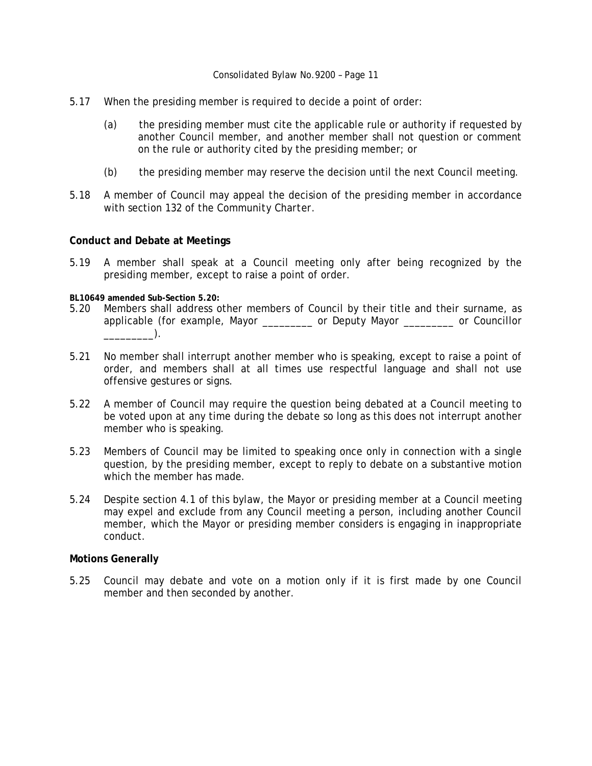- 5.17 When the presiding member is required to decide a point of order:
	- (a) the presiding member must cite the applicable rule or authority if requested by another Council member, and another member shall not question or comment on the rule or authority cited by the presiding member; or
	- (b) the presiding member may reserve the decision until the next Council meeting.
- 5.18 A member of Council may appeal the decision of the presiding member in accordance with section 132 of the *Community Charter*.

#### **Conduct and Debate at Meetings**

5.19 A member shall speak at a Council meeting only after being recognized by the presiding member, except to raise a point of order.

#### **BL10649 amended Sub-Section 5.20:**

- 5.20 Members shall address other members of Council by their title and their surname, as applicable (for example, Mayor \_\_\_\_\_\_\_\_\_ or Deputy Mayor \_\_\_\_\_\_\_\_\_ or Councillor  $\rule{1em}{0.15mm}$ .
- 5.21 No member shall interrupt another member who is speaking, except to raise a point of order, and members shall at all times use respectful language and shall not use offensive gestures or signs.
- 5.22 A member of Council may require the question being debated at a Council meeting to be voted upon at any time during the debate so long as this does not interrupt another member who is speaking.
- 5.23 Members of Council may be limited to speaking once only in connection with a single question, by the presiding member, except to reply to debate on a substantive motion which the member has made.
- 5.24 Despite section 4.1 of this bylaw, the Mayor or presiding member at a Council meeting may expel and exclude from any Council meeting a person, including another Council member, which the Mayor or presiding member considers is engaging in inappropriate conduct.

#### **Motions Generally**

5.25 Council may debate and vote on a motion only if it is first made by one Council member and then seconded by another.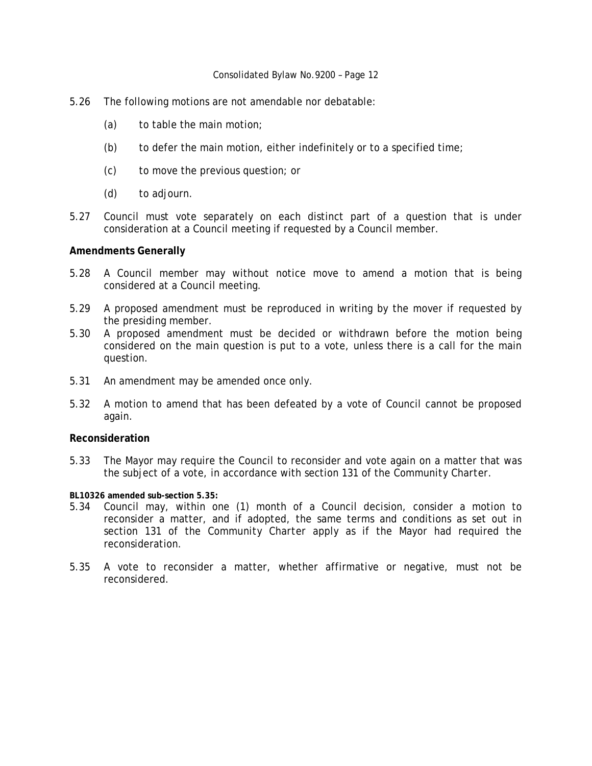- 5.26 The following motions are not amendable nor debatable:
	- $(a)$  to table the main motion;
	- (b) to defer the main motion, either indefinitely or to a specified time;
	- (c) to move the previous question; or
	- (d) to adjourn.
- 5.27 Council must vote separately on each distinct part of a question that is under consideration at a Council meeting if requested by a Council member.

#### **Amendments Generally**

- 5.28 A Council member may without notice move to amend a motion that is being considered at a Council meeting.
- 5.29 A proposed amendment must be reproduced in writing by the mover if requested by the presiding member.
- 5.30 A proposed amendment must be decided or withdrawn before the motion being considered on the main question is put to a vote, unless there is a call for the main question.
- 5.31 An amendment may be amended once only.
- 5.32 A motion to amend that has been defeated by a vote of Council cannot be proposed again.

#### **Reconsideration**

- 5.33 The Mayor may require the Council to reconsider and vote again on a matter that was the subject of a vote, in accordance with section 131 of the *Community Charter*.
- **BL10326 amended sub-section 5.35:**
- 5.34 Council may, within one (1) month of a Council decision, consider a motion to reconsider a matter, and if adopted, the same terms and conditions as set out in section 131 of the *Community Charter* apply as if the Mayor had required the reconsideration.
- 5.35 A vote to reconsider a matter, whether affirmative or negative, must not be reconsidered.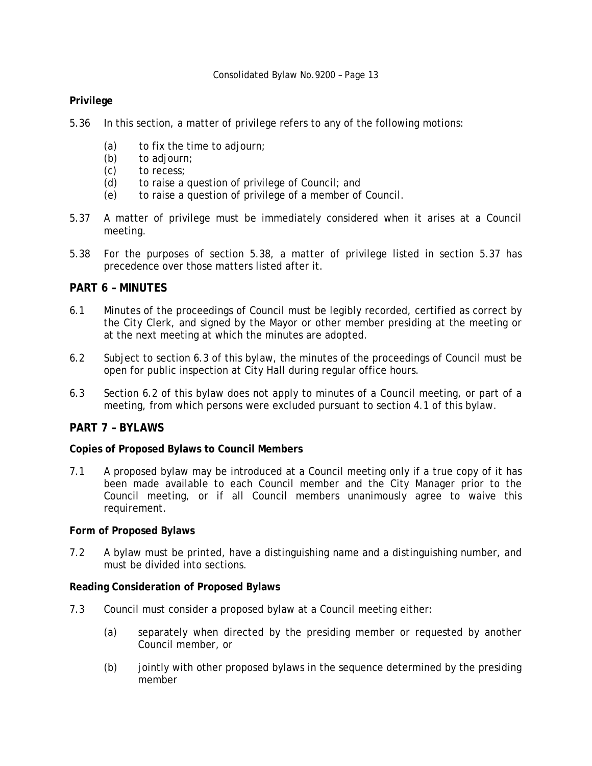## **Privilege**

- 5.36 In this section, a matter of privilege refers to any of the following motions:
	- (a) to fix the time to adjourn;
	- (b) to adjourn;
	- (c) to recess;
	- (d) to raise a question of privilege of Council; and
	- (e) to raise a question of privilege of a member of Council.
- 5.37 A matter of privilege must be immediately considered when it arises at a Council meeting.
- 5.38 For the purposes of section 5.38, a matter of privilege listed in section 5.37 has precedence over those matters listed after it.

## **PART 6 – MINUTES**

- 6.1 Minutes of the proceedings of Council must be legibly recorded, certified as correct by the City Clerk, and signed by the Mayor or other member presiding at the meeting or at the next meeting at which the minutes are adopted.
- 6.2 Subject to section 6.3 of this bylaw, the minutes of the proceedings of Council must be open for public inspection at City Hall during regular office hours.
- 6.3 Section 6.2 of this bylaw does not apply to minutes of a Council meeting, or part of a meeting, from which persons were excluded pursuant to section 4.1 of this bylaw.

#### **PART 7 – BYLAWS**

#### **Copies of Proposed Bylaws to Council Members**

7.1 A proposed bylaw may be introduced at a Council meeting only if a true copy of it has been made available to each Council member and the City Manager prior to the Council meeting, or if all Council members unanimously agree to waive this requirement.

#### **Form of Proposed Bylaws**

7.2 A bylaw must be printed, have a distinguishing name and a distinguishing number, and must be divided into sections.

#### **Reading Consideration of Proposed Bylaws**

- 7.3 Council must consider a proposed bylaw at a Council meeting either:
	- (a) separately when directed by the presiding member or requested by another Council member, or
	- (b) jointly with other proposed bylaws in the sequence determined by the presiding member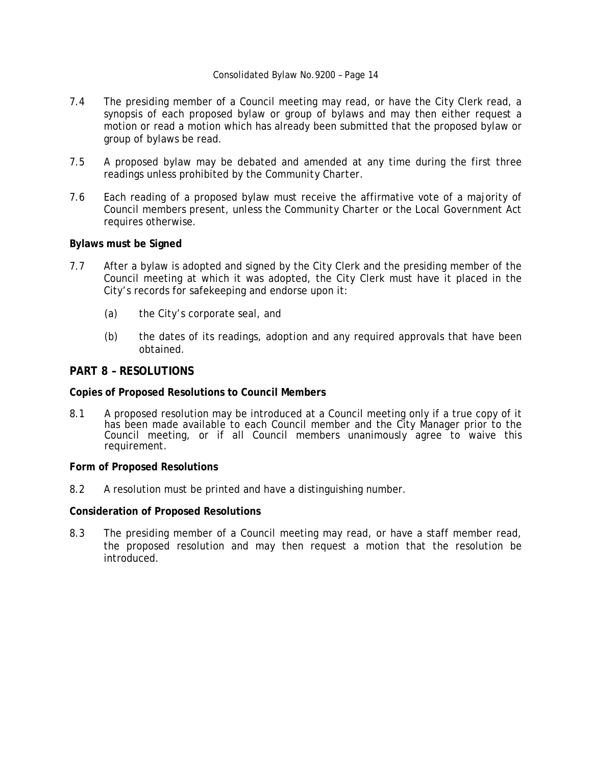- 7.4 The presiding member of a Council meeting may read, or have the City Clerk read, a synopsis of each proposed bylaw or group of bylaws and may then either request a motion or read a motion which has already been submitted that the proposed bylaw or group of bylaws be read.
- 7.5 A proposed bylaw may be debated and amended at any time during the first three readings unless prohibited by the *Community Charter*.
- 7.6 Each reading of a proposed bylaw must receive the affirmative vote of a majority of Council members present, unless the *Community Charter* or the *Local Government Act* requires otherwise.

#### **Bylaws must be Signed**

- 7.7 After a bylaw is adopted and signed by the City Clerk and the presiding member of the Council meeting at which it was adopted, the City Clerk must have it placed in the City's records for safekeeping and endorse upon it:
	- (a) the City's corporate seal, and
	- (b) the dates of its readings, adoption and any required approvals that have been obtained.

## **PART 8 – RESOLUTIONS**

#### **Copies of Proposed Resolutions to Council Members**

8.1 A proposed resolution may be introduced at a Council meeting only if a true copy of it has been made available to each Council member and the City Manager prior to the Council meeting, or if all Council members unanimously agree to waive this requirement.

#### **Form of Proposed Resolutions**

8.2 A resolution must be printed and have a distinguishing number.

#### **Consideration of Proposed Resolutions**

8.3 The presiding member of a Council meeting may read, or have a staff member read, the proposed resolution and may then request a motion that the resolution be introduced.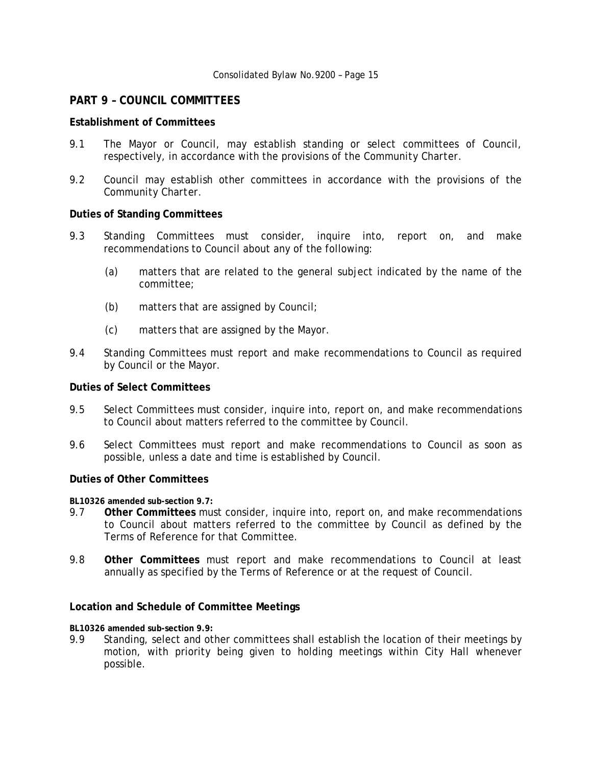## **PART 9 – COUNCIL COMMITTEES**

## **Establishment of Committees**

- 9.1 The Mayor or Council, may establish standing or select committees of Council, respectively, in accordance with the provisions of the *Community Charter*.
- 9.2 Council may establish other committees in accordance with the provisions of the *Community Charter*.

#### **Duties of Standing Committees**

- 9.3 Standing Committees must consider, inquire into, report on, and make recommendations to Council about any of the following:
	- (a) matters that are related to the general subject indicated by the name of the committee;
	- (b) matters that are assigned by Council;
	- (c) matters that are assigned by the Mayor.
- 9.4 Standing Committees must report and make recommendations to Council as required by Council or the Mayor.

#### **Duties of Select Committees**

- 9.5 Select Committees must consider, inquire into, report on, and make recommendations to Council about matters referred to the committee by Council.
- 9.6 Select Committees must report and make recommendations to Council as soon as possible, unless a date and time is established by Council.

#### **Duties of Other Committees**

**BL10326 amended sub-section 9.7:**

- 9.7 **Other Committees** must consider, inquire into, report on, and make recommendations to Council about matters referred to the committee by Council as defined by the Terms of Reference for that Committee.
- 9.8 **Other Committees** must report and make recommendations to Council at least annually as specified by the Terms of Reference or at the request of Council.

#### **Location and Schedule of Committee Meetings**

**BL10326 amended sub-section 9.9:**

9.9 Standing, select and other committees shall establish the location of their meetings by motion, with priority being given to holding meetings within City Hall whenever possible.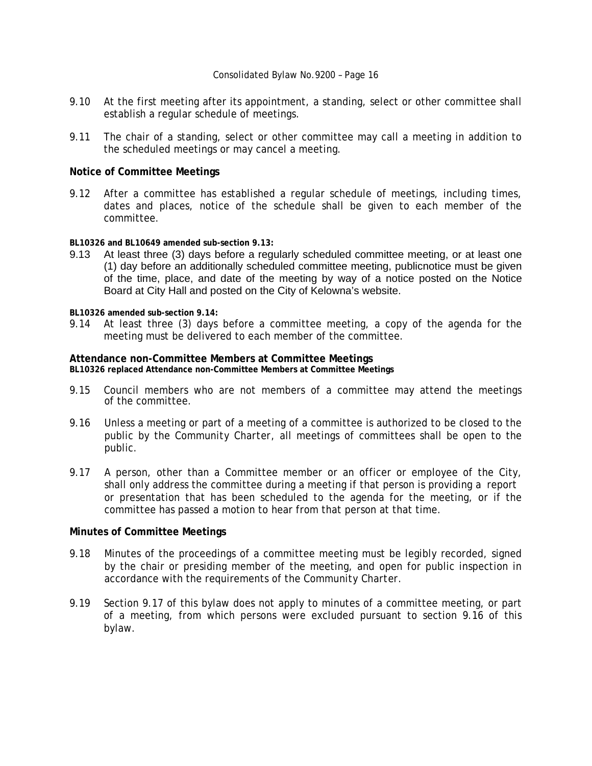- 9.10 At the first meeting after its appointment, a standing, select or other committee shall establish a regular schedule of meetings.
- 9.11 The chair of a standing, select or other committee may call a meeting in addition to the scheduled meetings or may cancel a meeting.

#### **Notice of Committee Meetings**

9.12 After a committee has established a regular schedule of meetings, including times, dates and places, notice of the schedule shall be given to each member of the committee.

**BL10326 and BL10649 amended sub-section 9.13:**

9.13 At least three (3) days before a regularly scheduled committee meeting, or at least one (1) day before an additionally scheduled committee meeting, publicnotice must be given of the time, place, and date of the meeting by way of a notice posted on the Notice Board at City Hall and posted on the City of Kelowna's website.

**BL10326 amended sub-section 9.14:**

9.14 At least three (3) days before a committee meeting, a copy of the agenda for the meeting must be delivered to each member of the committee.

#### **Attendance non-Committee Members at Committee Meetings**

**BL10326 replaced Attendance non-Committee Members at Committee Meetings** 

- 9.15 Council members who are not members of a committee may attend the meetings of the committee.
- 9.16 Unless a meeting or part of a meeting of a committee is authorized to be closed to the public by the *Community Charter*, all meetings of committees shall be open to the public.
- 9.17 A person, other than a Committee member or an officer or employee of the City, shall only address the committee during a meeting if that person is providing a report or presentation that has been scheduled to the agenda for the meeting, or if the committee has passed a motion to hear from that person at that time.

#### **Minutes of Committee Meetings**

- 9.18 Minutes of the proceedings of a committee meeting must be legibly recorded, signed by the chair or presiding member of the meeting, and open for public inspection in accordance with the requirements of the *Community Charter*.
- 9.19 Section 9.17 of this bylaw does not apply to minutes of a committee meeting, or part of a meeting, from which persons were excluded pursuant to section 9.16 of this bylaw.